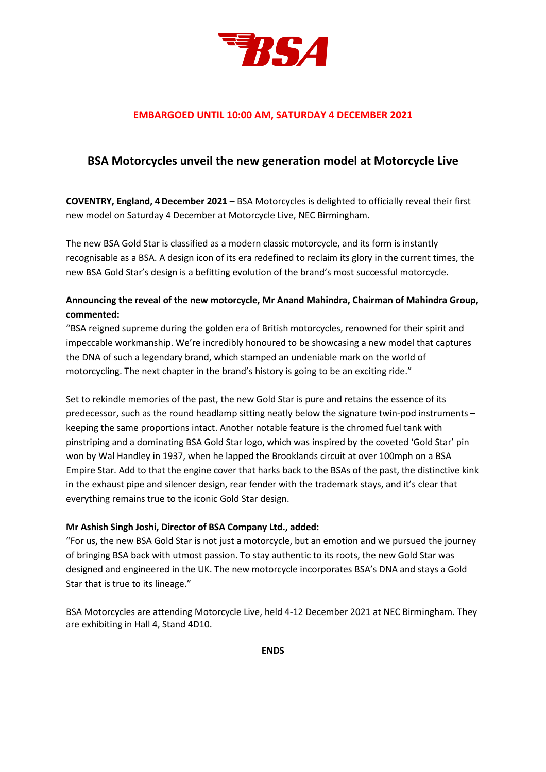

## **EMBARGOED UNTIL 10:00 AM, SATURDAY 4 DECEMBER 2021**

## **BSA Motorcycles unveil the new generation model at Motorcycle Live**

**COVENTRY, England, 4December 2021** – BSA Motorcycles is delighted to officially reveal their first new model on Saturday 4 December at Motorcycle Live, NEC Birmingham.

The new BSA Gold Star is classified as a modern classic motorcycle, and its form is instantly recognisable as a BSA. A design icon of its era redefined to reclaim its glory in the current times, the new BSA Gold Star's design is a befitting evolution of the brand's most successful motorcycle.

### **Announcing the reveal of the new motorcycle, Mr Anand Mahindra, Chairman of Mahindra Group, commented:**

"BSA reigned supreme during the golden era of British motorcycles, renowned for their spirit and impeccable workmanship. We're incredibly honoured to be showcasing a new model that captures the DNA of such a legendary brand, which stamped an undeniable mark on the world of motorcycling. The next chapter in the brand's history is going to be an exciting ride."

Set to rekindle memories of the past, the new Gold Star is pure and retains the essence of its predecessor, such as the round headlamp sitting neatly below the signature twin-pod instruments – keeping the same proportions intact. Another notable feature is the chromed fuel tank with pinstriping and a dominating BSA Gold Star logo, which was inspired by the coveted 'Gold Star' pin won by Wal Handley in 1937, when he lapped the Brooklands circuit at over 100mph on a BSA Empire Star. Add to that the engine cover that harks back to the BSAs of the past, the distinctive kink in the exhaust pipe and silencer design, rear fender with the trademark stays, and it's clear that everything remains true to the iconic Gold Star design.

### **Mr Ashish Singh Joshi, Director of BSA Company Ltd., added:**

"For us, the new BSA Gold Star is not just a motorcycle, but an emotion and we pursued the journey of bringing BSA back with utmost passion. To stay authentic to its roots, the new Gold Star was designed and engineered in the UK. The new motorcycle incorporates BSA's DNA and stays a Gold Star that is true to its lineage."

BSA Motorcycles are attending Motorcycle Live, held 4-12 December 2021 at NEC Birmingham. They are exhibiting in Hall 4, Stand 4D10.

**ENDS**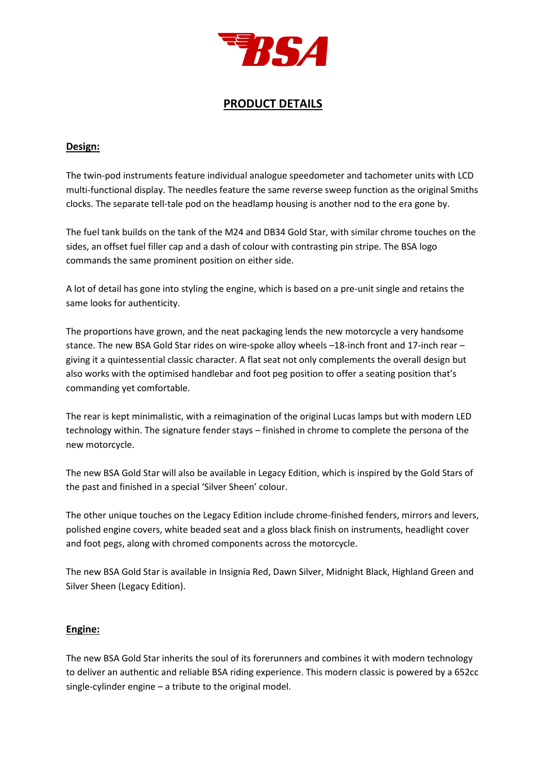

## **PRODUCT DETAILS**

### **Design:**

The twin-pod instruments feature individual analogue speedometer and tachometer units with LCD multi-functional display. The needles feature the same reverse sweep function as the original Smiths clocks. The separate tell-tale pod on the headlamp housing is another nod to the era gone by.

The fuel tank builds on the tank of the M24 and DB34 Gold Star, with similar chrome touches on the sides, an offset fuel filler cap and a dash of colour with contrasting pin stripe. The BSA logo commands the same prominent position on either side.

A lot of detail has gone into styling the engine, which is based on a pre-unit single and retains the same looks for authenticity.

The proportions have grown, and the neat packaging lends the new motorcycle a very handsome stance. The new BSA Gold Star rides on wire-spoke alloy wheels –18-inch front and 17-inch rear – giving it a quintessential classic character. A flat seat not only complements the overall design but also works with the optimised handlebar and foot peg position to offer a seating position that's commanding yet comfortable.

The rear is kept minimalistic, with a reimagination of the original Lucas lamps but with modern LED technology within. The signature fender stays – finished in chrome to complete the persona of the new motorcycle.

The new BSA Gold Star will also be available in Legacy Edition, which is inspired by the Gold Stars of the past and finished in a special 'Silver Sheen' colour.

The other unique touches on the Legacy Edition include chrome-finished fenders, mirrors and levers, polished engine covers, white beaded seat and a gloss black finish on instruments, headlight cover and foot pegs, along with chromed components across the motorcycle.

The new BSA Gold Star is available in Insignia Red, Dawn Silver, Midnight Black, Highland Green and Silver Sheen (Legacy Edition).

### **Engine:**

The new BSA Gold Star inherits the soul of its forerunners and combines it with modern technology to deliver an authentic and reliable BSA riding experience. This modern classic is powered by a 652cc single-cylinder engine – a tribute to the original model.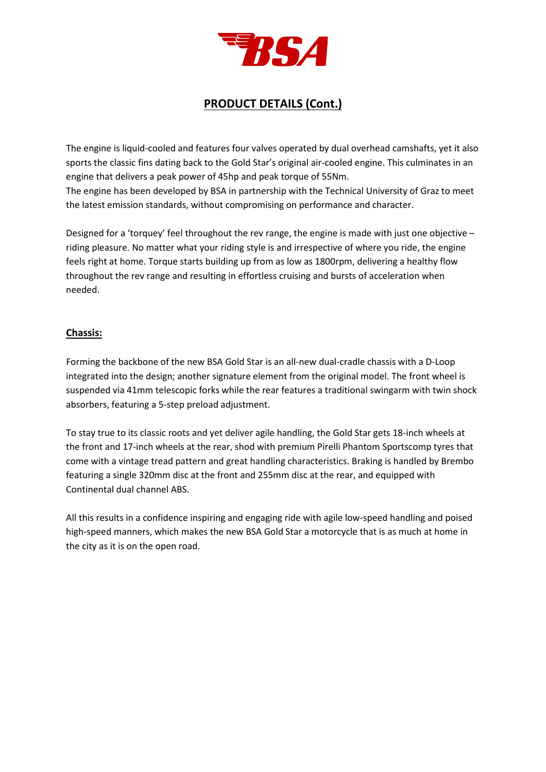

# **PRODUCT DETAILS (Cont.)**

The engine is liquid-cooled and features four valves operated by dual overhead camshafts, yet it also sports the classic fins dating back to the Gold Star's original air-cooled engine. This culminates in an engine that delivers a peak power of 45hp and peak torque of 55Nm. The engine has been developed by BSA in partnership with the Technical University of Graz to meet the latest emission standards, without compromising on performance and character.

Designed for a 'torquey' feel throughout the rev range, the engine is made with just one objective – riding pleasure. No matter what your riding style is and irrespective of where you ride, the engine feels right at home. Torque starts building up from as low as 1800rpm, delivering a healthy flow throughout the rev range and resulting in effortless cruising and bursts of acceleration when needed.

### **Chassis:**

Forming the backbone of the new BSA Gold Star is an all-new dual-cradle chassis with a D-Loop integrated into the design; another signature element from the original model. The front wheel is suspended via 41mm telescopic forks while the rear features a traditional swingarm with twin shock absorbers, featuring a 5-step preload adjustment.

To stay true to its classic roots and yet deliver agile handling, the Gold Star gets 18-inch wheels at the front and 17-inch wheels at the rear, shod with premium Pirelli Phantom Sportscomp tyres that come with a vintage tread pattern and great handling characteristics. Braking is handled by Brembo featuring a single 320mm disc at the front and 255mm disc at the rear, and equipped with Continental dual channel ABS.

All this results in a confidence inspiring and engaging ride with agile low-speed handling and poised high-speed manners, which makes the new BSA Gold Star a motorcycle that is as much at home in the city as it is on the open road.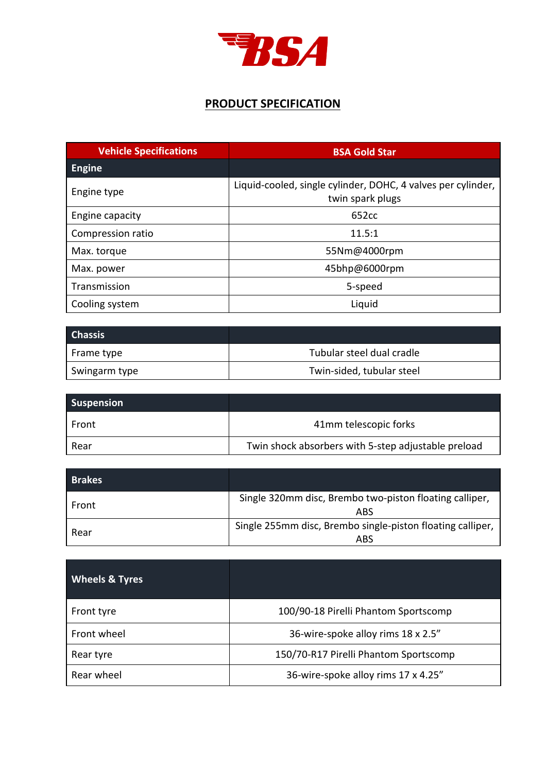

## **PRODUCT SPECIFICATION**

| <b>Vehicle Specifications</b> | <b>BSA Gold Star</b>                                                             |
|-------------------------------|----------------------------------------------------------------------------------|
| <b>Engine</b>                 |                                                                                  |
| Engine type                   | Liquid-cooled, single cylinder, DOHC, 4 valves per cylinder,<br>twin spark plugs |
| Engine capacity               | 652cc                                                                            |
| Compression ratio             | 11.5:1                                                                           |
| Max. torque                   | 55Nm@4000rpm                                                                     |
| Max. power                    | 45bhp@6000rpm                                                                    |
| Transmission                  | 5-speed                                                                          |
| Cooling system                | Liquid                                                                           |

| <b>Chassis</b> |                           |
|----------------|---------------------------|
| Frame type     | Tubular steel dual cradle |
| Swingarm type  | Twin-sided, tubular steel |

| <b>Suspension</b> |                                                     |
|-------------------|-----------------------------------------------------|
| Front             | 41mm telescopic forks                               |
| Rear              | Twin shock absorbers with 5-step adjustable preload |

| <b>Brakes</b> |                                                                   |
|---------------|-------------------------------------------------------------------|
| Front         | Single 320mm disc, Brembo two-piston floating calliper,<br>ABS    |
| Rear          | Single 255mm disc, Brembo single-piston floating calliper,<br>ABS |

| <b>Wheels &amp; Tyres</b> |                                       |
|---------------------------|---------------------------------------|
| Front tyre                | 100/90-18 Pirelli Phantom Sportscomp  |
| Front wheel               | 36-wire-spoke alloy rims 18 x 2.5"    |
| Rear tyre                 | 150/70-R17 Pirelli Phantom Sportscomp |
| Rear wheel                | 36-wire-spoke alloy rims 17 x 4.25"   |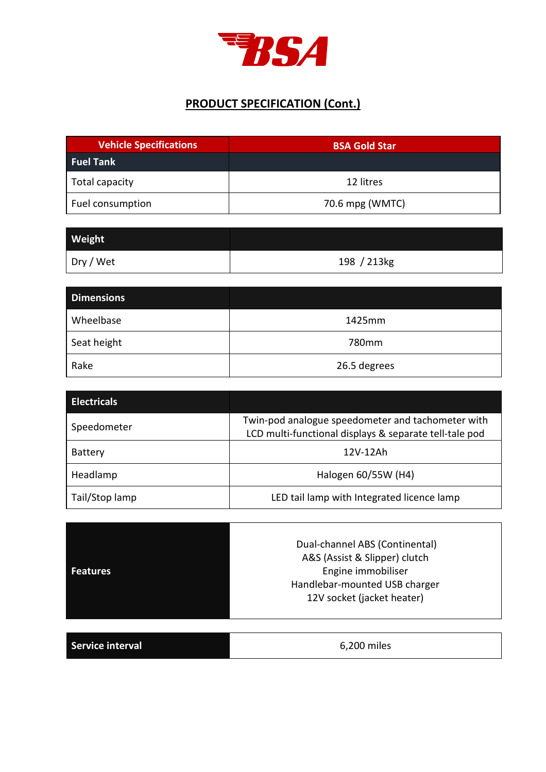

# **PRODUCT SPECIFICATION (Cont.)**

| <b>Vehicle Specifications</b> | <b>BSA Gold Star</b> |
|-------------------------------|----------------------|
| <b>Fuel Tank</b>              |                      |
| Total capacity                | 12 litres            |
| Fuel consumption              | 70.6 mpg (WMTC)      |

| Weight <sup>1</sup> |             |
|---------------------|-------------|
| Dry / Wet           | 198 / 213kg |

| <b>Dimensions</b> |              |
|-------------------|--------------|
| Wheelbase         | 1425mm       |
| Seat height       | 780mm        |
| Rake              | 26.5 degrees |

| <b>Electricals</b> |                                                                                                             |
|--------------------|-------------------------------------------------------------------------------------------------------------|
| Speedometer        | Twin-pod analogue speedometer and tachometer with<br>LCD multi-functional displays & separate tell-tale pod |
| <b>Battery</b>     | 12V-12Ah                                                                                                    |
| Headlamp           | Halogen 60/55W (H4)                                                                                         |
| Tail/Stop lamp     | LED tail lamp with Integrated licence lamp                                                                  |

| <b>Features</b>         | Dual-channel ABS (Continental)<br>A&S (Assist & Slipper) clutch<br>Engine immobiliser<br>Handlebar-mounted USB charger<br>12V socket (jacket heater) |
|-------------------------|------------------------------------------------------------------------------------------------------------------------------------------------------|
| <b>Service interval</b> | 6,200 miles                                                                                                                                          |